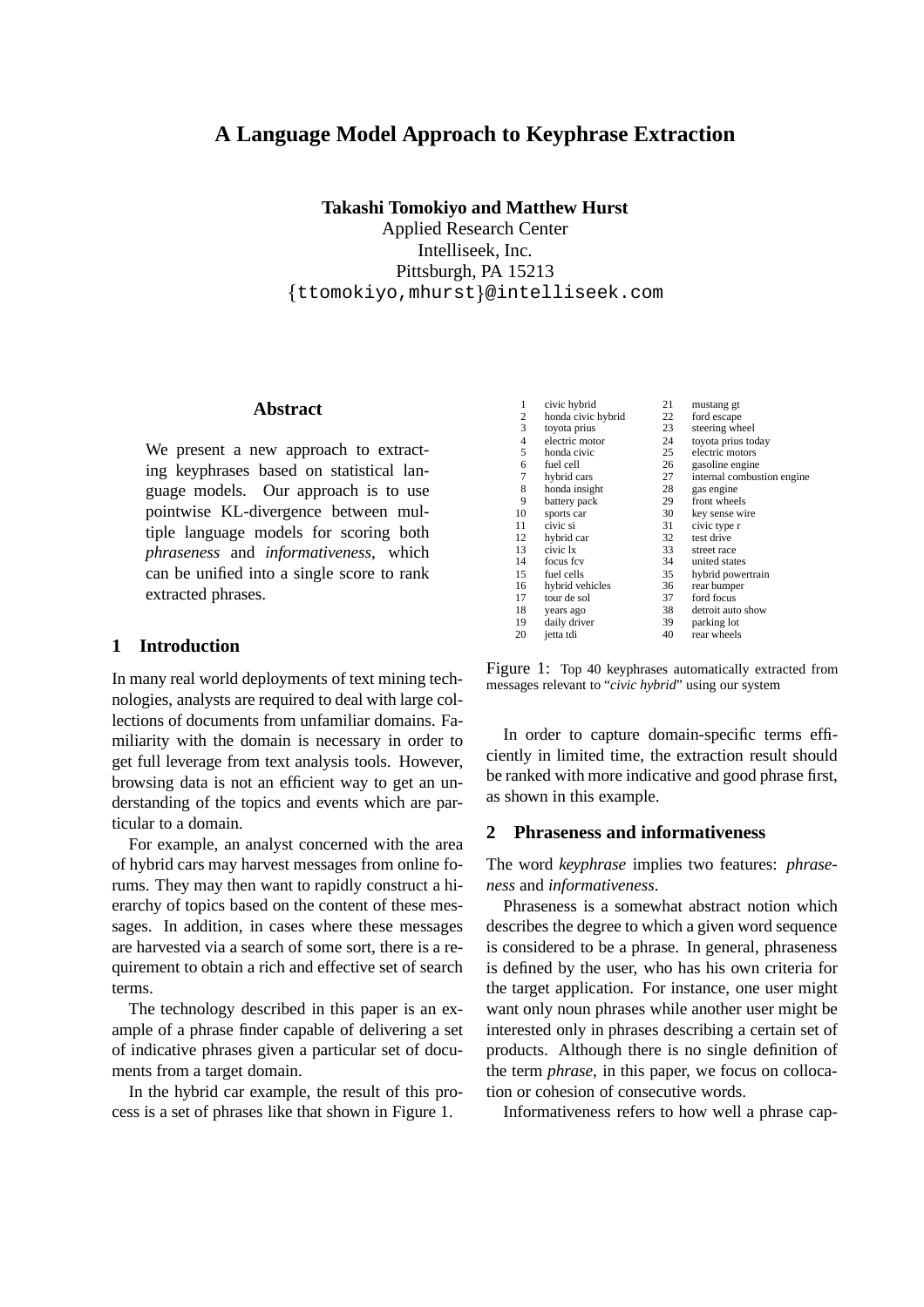# **A Language Model Approach to Keyphrase Extraction**

**Takashi Tomokiyo and Matthew Hurst** Applied Research Center Intelliseek, Inc. Pittsburgh, PA 15213  $\{\texttt{ttomokiyo,mhurst}\}$ @intelliseek.com

#### **Abstract**

We present a new approach to extracting keyphrases based on statistical language models. Our approach is to use pointwise KL-divergence between multiple language models for scoring both *phraseness* and *informativeness*, which can be unified into a single score to rank extracted phrases.

# **1 Introduction**

In many real world deployments of text mining technologies, analysts are required to deal with large collections of documents from unfamiliar domains. Familiarity with the domain is necessary in order to get full leverage from text analysis tools. However, browsing data is not an efficient way to get an understanding of the topics and events which are particular to a domain.

For example, an analyst concerned with the area of hybrid cars may harvest messages from online forums. They may then want to rapidly construct a hierarchy of topics based on the content of these messages. In addition, in cases where these messages are harvested via a search of some sort, there is a requirement to obtain a rich and effective set of search terms.

The technology described in this paper is an example of a phrase finder capable of delivering a set of indicative phrases given a particular set of documents from a target domain.

In the hybrid car example, the result of this process is a set of phrases like that shown in Figure 1.

| $\mathbf{1}$             | civic hybrid       | 21 | mustang gt                 |
|--------------------------|--------------------|----|----------------------------|
| 2                        | honda civic hybrid | 22 | ford escape                |
| 3                        | toyota prius       | 23 | steering wheel             |
| $\overline{\mathcal{L}}$ | electric motor     | 24 | toyota prius today         |
| 5                        | honda civic        | 25 | electric motors            |
| 6                        | fuel cell          | 26 | gasoline engine            |
| 7                        | hybrid cars        | 27 | internal combustion engine |
| 8                        | honda insight      | 28 | gas engine                 |
| 9                        | battery pack       | 29 | front wheels               |
| 10                       | sports car         | 30 | key sense wire             |
| 11                       | civic si           | 31 | civic type r               |
| 12                       | hybrid car         | 32 | test drive                 |
| 13                       | civic 1x           | 33 | street race                |
| 14                       | focus fcv          | 34 | united states              |
| 15                       | fuel cells         | 35 | hybrid powertrain          |
| 16                       | hybrid vehicles    | 36 | rear bumper                |
| 17                       | tour de sol        | 37 | ford focus                 |
| 18                       | years ago          | 38 | detroit auto show          |
| 19                       | daily driver       | 39 | parking lot                |
| 20                       | jetta tdi          | 40 | rear wheels                |

Figure 1: Top 40 keyphrases automatically extracted from messages relevant to "*civic hybrid*" using our system

In order to capture domain-specific terms efficiently in limited time, the extraction result should be ranked with more indicative and good phrase first, as shown in this example.

### **2 Phraseness and informativeness**

The word *keyphrase* implies two features: *phraseness* and *informativeness*.

Phraseness is a somewhat abstract notion which describes the degree to which a given word sequence is considered to be a phrase. In general, phraseness is defined by the user, who has his own criteria for the target application. For instance, one user might want only noun phrases while another user might be interested only in phrases describing a certain set of products. Although there is no single definition of the term *phrase*, in this paper, we focus on collocation or cohesion of consecutive words.

Informativeness refers to how well a phrase cap-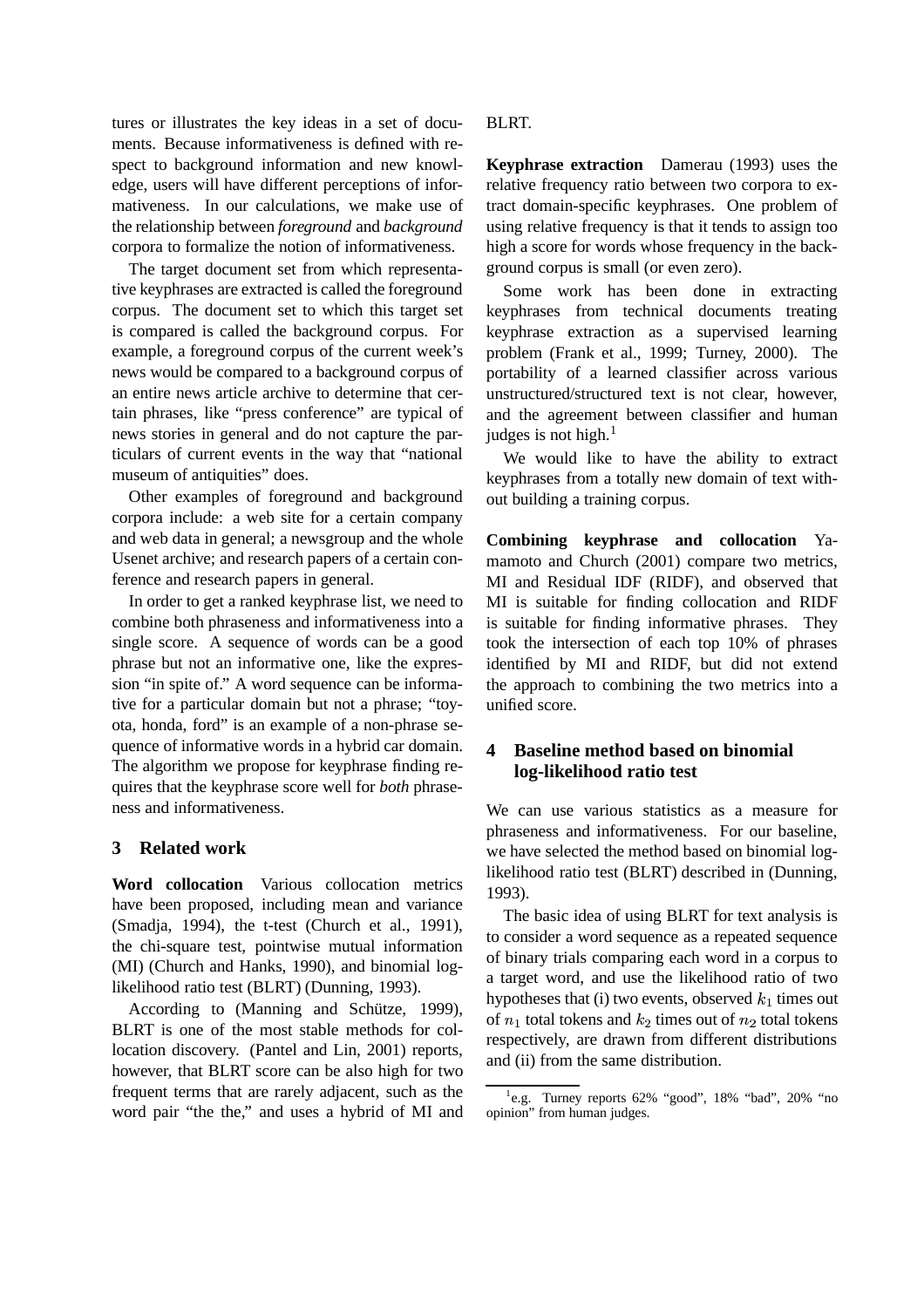tures or illustrates the key ideas in a set of documents. Because informativeness is defined with respect to background information and new knowledge, users will have different perceptions of informativeness. In our calculations, we make use of the relationship between *foreground* and *background* corpora to formalize the notion of informativeness.

The target document set from which representative keyphrases are extracted is called the foreground corpus. The document set to which this target set is compared is called the background corpus. For example, a foreground corpus of the current week's news would be compared to a background corpus of an entire news article archive to determine that certain phrases, like "press conference" are typical of news stories in general and do not capture the particulars of current events in the way that "national museum of antiquities" does.

Other examples of foreground and background corpora include: a web site for a certain company and web data in general; a newsgroup and the whole Usenet archive; and research papers of a certain conference and research papers in general.

In order to get a ranked keyphrase list, we need to combine both phraseness and informativeness into a single score. A sequence of words can be a good phrase but not an informative one, like the expression "in spite of." A word sequence can be informative for a particular domain but not a phrase; "toyota, honda, ford" is an example of a non-phrase sequence of informative words in a hybrid car domain. The algorithm we propose for keyphrase finding requires that the keyphrase score well for *both* phraseness and informativeness.

# **3 Related work**

**Word collocation** Various collocation metrics have been proposed, including mean and variance (Smadja, 1994), the t-test (Church et al., 1991), the chi-square test, pointwise mutual information (MI) (Church and Hanks, 1990), and binomial loglikelihood ratio test (BLRT) (Dunning, 1993).

According to (Manning and Schütze, 1999), BLRT is one of the most stable methods for collocation discovery. (Pantel and Lin, 2001) reports, however, that BLRT score can be also high for two frequent terms that are rarely adjacent, such as the word pair "the the," and uses a hybrid of MI and

### BLRT.

**Keyphrase extraction** Damerau (1993) uses the relative frequency ratio between two corpora to extract domain-specific keyphrases. One problem of using relative frequency is that it tends to assign too high a score for words whose frequency in the background corpus is small (or even zero).

Some work has been done in extracting keyphrases from technical documents treating keyphrase extraction as a supervised learning problem (Frank et al., 1999; Turney, 2000). The portability of a learned classifier across various unstructured/structured text is not clear, however, and the agreement between classifier and human judges is not high. $<sup>1</sup>$ </sup>

We would like to have the ability to extract keyphrases from a totally new domain of text without building a training corpus.

**Combining keyphrase and collocation** Yamamoto and Church (2001) compare two metrics, MI and Residual IDF (RIDF), and observed that MI is suitable for finding collocation and RIDF is suitable for finding informative phrases. They took the intersection of each top 10% of phrases identified by MI and RIDF, but did not extend the approach to combining the two metrics into a unified score.

# **4 Baseline method based on binomial log-likelihood ratio test**

We can use various statistics as a measure for phraseness and informativeness. For our baseline, we have selected the method based on binomial loglikelihood ratio test (BLRT) described in (Dunning, 1993).

The basic idea of using BLRT for text analysis is to consider a word sequence as a repeated sequence of binary trials comparing each word in a corpus to a target word, and use the likelihood ratio of two hypotheses that (i) two events, observed  $k_1$  times out of  $n_1$  total tokens and  $k_2$  times out of  $n_2$  total tokens respectively, are drawn from different distributions and (ii) from the same distribution.

<sup>&</sup>lt;sup>1</sup>e.g. Turney reports 62% "good", 18% "bad", 20% "no opinion" from human judges.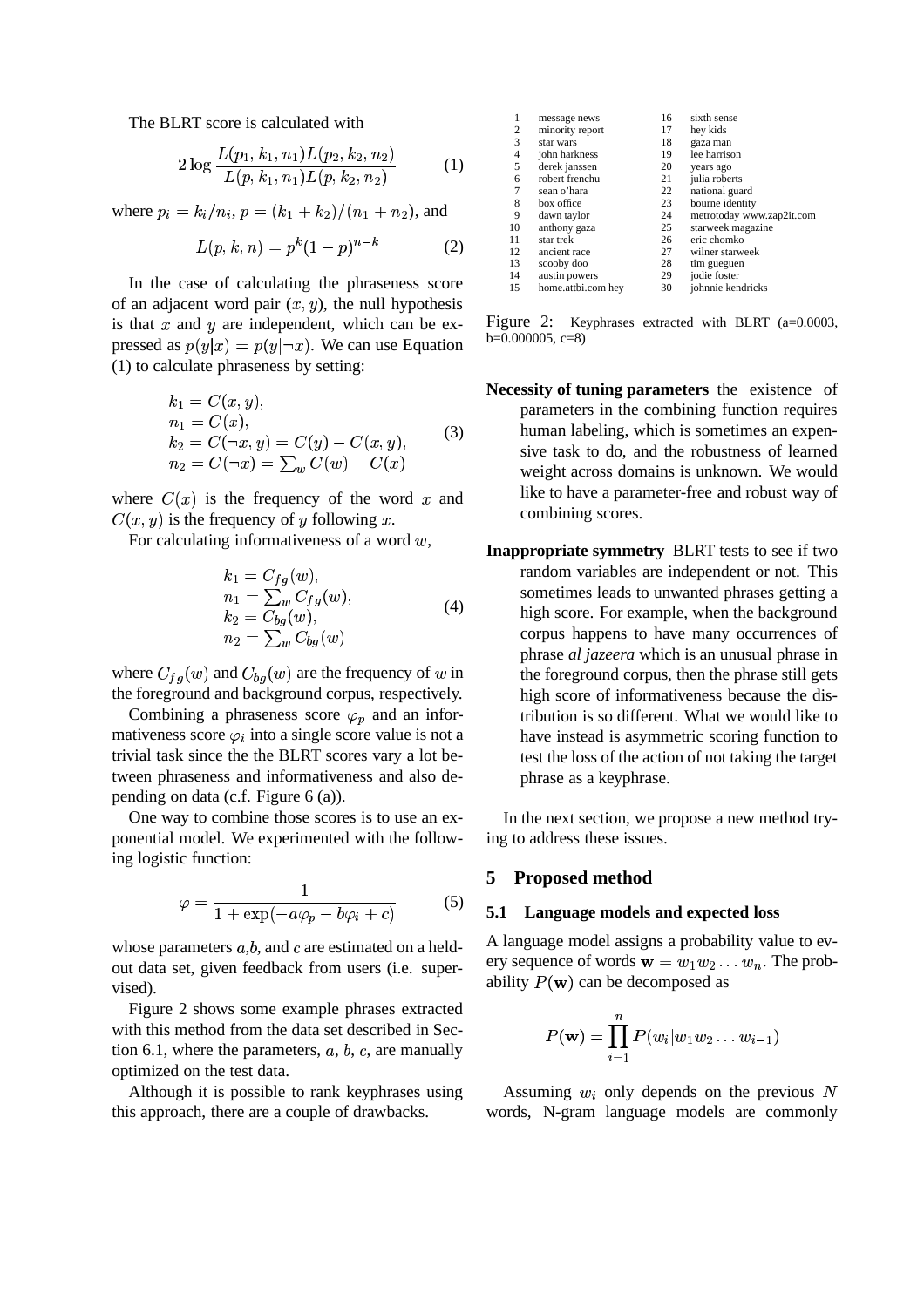The BLRT score is calculated with

$$
2\log \frac{L(p_1, k_1, n_1) L(p_2, k_2, n_2)}{L(p, k_1, n_1) L(p, k_2, n_2)} \tag{1}
$$

where  $p_i = k_i/n_i$ ,  $p = (k_1 + k_2)/(n_1 + n_2)$ , and

$$
L(p, k, n) = p^{k}(1-p)^{n-k}
$$
 (2)

In the case of calculating the phraseness score of an adjacent word pair  $(x, y)$ , the null hypothesis is that  $x$  and  $y$  are independent, which can be expressed as  $p(y|x) = p(y|\neg x)$ . We can use Equation (1) to calculate phraseness by setting:

$$
k_1 = C(x, y),
$$
  
\n
$$
n_1 = C(x),
$$
  
\n
$$
k_2 = C(\neg x, y) = C(y) - C(x, y),
$$
  
\n
$$
n_2 = C(\neg x) = \sum_{w} C(w) - C(x)
$$
\n(3)

where  $C(x)$  is the frequency of the word x and  $C(x, y)$  is the frequency of y following x.

For calculating informativeness of a word  $w$ ,

$$
k_1 = C_{fg}(w),
$$
  
\n
$$
n_1 = \sum_w C_{fg}(w),
$$
  
\n
$$
k_2 = C_{bg}(w),
$$
  
\n
$$
n_2 = \sum_w C_{bg}(w)
$$
  
\n(4)

where  $C_{fg}(w)$  and  $C_{bg}(w)$  are the frequency of w in the foreground and background corpus, respectively.

Combining a phraseness score  $\varphi_p$  and an informativeness score  $\varphi_i$  into a single score value is not a trivial task since the the BLRT scores vary a lot between phraseness and informativeness and also depending on data (c.f. Figure 6 (a)).

One way to combine those scores is to use an exponential model. We experimented with the following logistic function:

$$
\varphi = \frac{1}{1 + \exp(-a\varphi_p - b\varphi_i + c)}\tag{5}
$$

whose parameters  $a,b$ , and c are estimated on a heldout data set, given feedback from users (i.e. supervised).

Figure 2 shows some example phrases extracted with this method from the data set described in Section 6.1, where the parameters,  $a, b, c$ , are manually optimized on the test data.

Although it is possible to rank keyphrases using this approach, there are a couple of drawbacks.

| 1  | message news       | 16 | sixth sense               |
|----|--------------------|----|---------------------------|
| 2  | minority report    | 17 | hey kids                  |
| 3  | star wars          | 18 | gaza man                  |
| 4  | john harkness      | 19 | lee harrison              |
| 5  | derek janssen      | 20 | years ago                 |
| 6  | robert frenchu     | 21 | julia roberts             |
| 7  | sean o'hara        | 22 | national guard            |
| 8  | box office         | 23 | bourne identity           |
| 9  | dawn taylor        | 24 | metrotoday www.zap2it.com |
| 10 | anthony gaza       | 25 | starweek magazine         |
| 11 | star trek          | 26 | eric chomko               |
| 12 | ancient race       | 27 | wilner starweek           |
| 13 | scooby doo         | 28 | tim gueguen               |
| 14 | austin powers      | 29 | jodie foster              |
| 15 | home.attbi.com hey | 30 | johnnie kendricks         |
|    |                    |    |                           |

Figure 2: Keyphrases extracted with BLRT (a=0.0003,  $b=0.000005, c=8$ 

- **Necessity of tuning parameters** the existence of parameters in the combining function requires human labeling, which is sometimes an expensive task to do, and the robustness of learned weight across domains is unknown. We would like to have a parameter-free and robust way of combining scores.
- **Inappropriate symmetry** BLRT tests to see if two random variables are independent or not. This sometimes leads to unwanted phrases getting a high score. For example, when the background corpus happens to have many occurrences of phrase *al jazeera* which is an unusual phrase in the foreground corpus, then the phrase still gets high score of informativeness because the distribution is so different. What we would like to have instead is asymmetric scoring function to test the loss of the action of not taking the target phrase as a keyphrase.

In the next section, we propose a new method trying to address these issues.

# **5 Proposed method**

### **5.1 Language models and expected loss**

A language model assigns a probability value to every sequence of words  $\mathbf{w} = w_1w_2 \dots w_n$ . The probability  $P(\mathbf{w})$  can be decomposed as

$$
P(\textbf{w})=\prod_{i=1}^n P(w_i|w_1w_2\ldots w_{i-1})
$$

Assuming  $w_i$  only depends on the previous N words, N-gram language models are commonly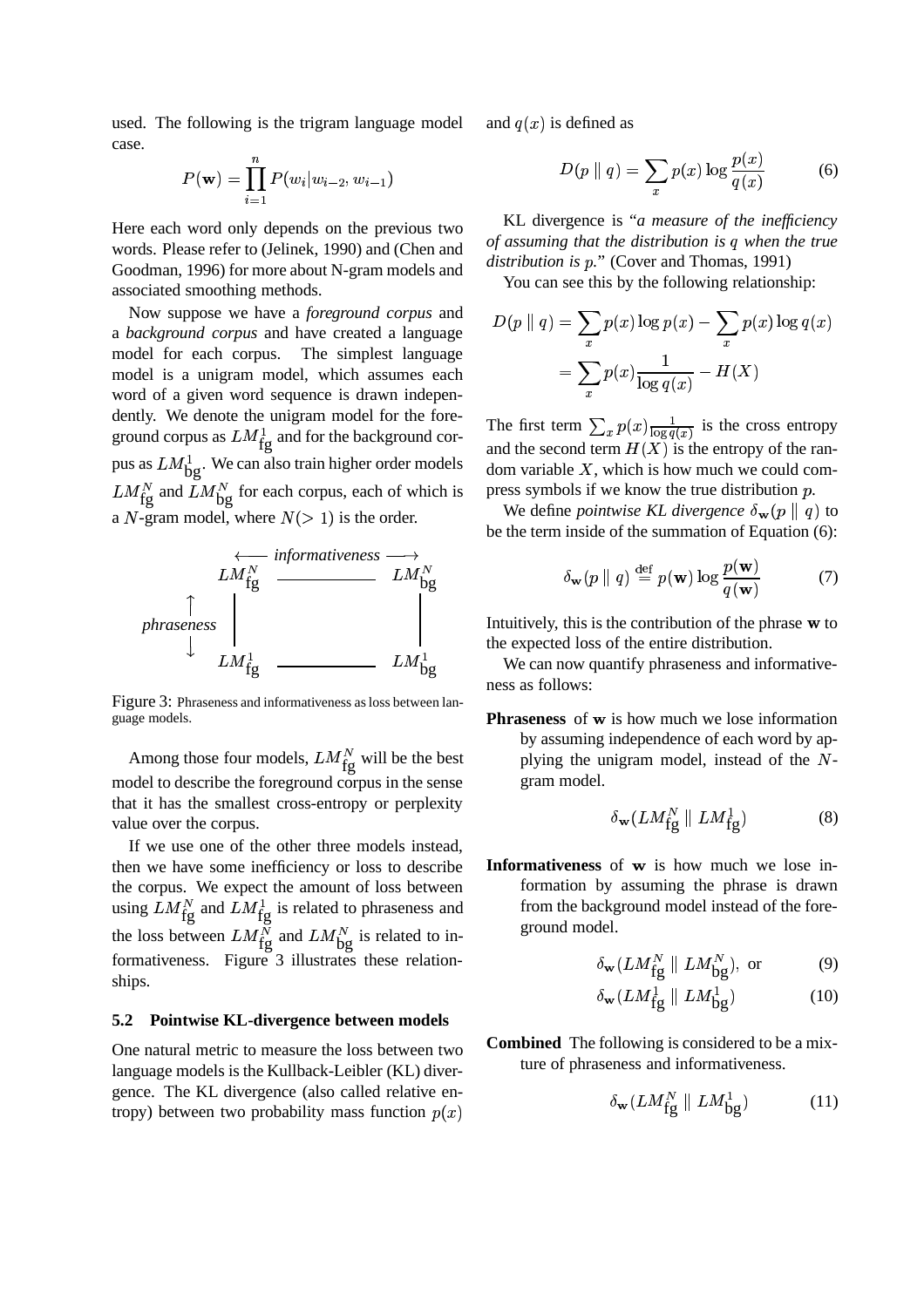used. The following is the trigram language model case.

$$
P(\mathbf{w}) = \prod_{i=1}^{n} P(w_i | w_{i-2}, w_{i-1})
$$

Here each word only depends on the previous two words. Please refer to (Jelinek, 1990) and (Chen and Goodman, 1996) for more about N-gram models and associated smoothing methods.

Now suppose we have a *foreground corpus* and a *background corpus* and have created a language model for each corpus. The simplest language model is a unigram model, which assumes each word of a given word sequence is drawn independently. We denote the unigram model for the foreground corpus as  $LM_{\text{fg}}^1$  and for the background corpus as  $LM_{\rm bg}^1$ . We can also train higher order models  $LM_{fg}^N$  and  $LM_{bg}^N$  for each corpus, each of which is a  $N$ -gram model, where  $N(> 1)$  is the order.



Figure 3: Phraseness and informativeness as loss between language models.

Among those four models,  $LM_{\text{fg}}^N$  will be the best model to describe the foreground corpus in the sense that it has the smallest cross-entropy or perplexity value over the corpus.

If we use one of the other three models instead, then we have some inefficiency or loss to describe the corpus. We expect the amount of loss between using  $LM_{\text{fg}}^{N}$  and  $LM_{\text{fg}}^{1}$  is related to phraseness and the loss between  $LM_{fg}^N$  and  $LM_{bg}^N$  is related to informativeness. Figure 3 illustrates these relationships.

# **5.2 Pointwise KL-divergence between models**

One natural metric to measure the loss between two language models is the Kullback-Leibler (KL) divergence. The KL divergence (also called relative entropy) between two probability mass function  $p(x)$ 

and  $q(x)$  is defined as

$$
D(p \parallel q) = \sum_{x} p(x) \log \frac{p(x)}{q(x)} \tag{6}
$$

KL divergence is "*a measure of the inefficiency of assuming that the distribution is when the true distribution is p.*" (Cover and Thomas, 1991)

You can see this by the following relationship:

$$
D(p \parallel q) = \sum_{x} p(x) \log p(x) - \sum_{x} p(x) \log q(x)
$$

$$
= \sum_{x} p(x) \frac{1}{\log q(x)} - H(X)
$$

The first term  $\sum_{x} p(x) \frac{1}{\log q(x)}$  is the cross entropy and the second term  $H(X)$  is the entropy of the random variable  $X$ , which is how much we could compress symbols if we know the true distribution  $p$ .

We define *pointwise KL divergence*  $\delta_{\bf w}(p \parallel q)$  to be the term inside of the summation of Equation (6):

$$
\delta_{\mathbf{w}}(p \parallel q) \stackrel{\text{def}}{=} p(\mathbf{w}) \log \frac{p(\mathbf{w})}{q(\mathbf{w})}
$$
(7)

Intuitively, this is the contribution of the phrase  $\bf{w}$  to the expected loss of the entire distribution.

We can now quantify phraseness and informativeness as follows:

**Phraseness** of w is how much we lose information by assuming independence of each word by applying the unigram model, instead of the  $N$ gram model.

$$
\delta_{\mathbf{w}}(LM_{\mathbf{fg}}^N \parallel LM_{\mathbf{fg}}^1) \tag{8}
$$

**Informativeness** of w is how much we lose information by assuming the phrase is drawn from the background model instead of the foreground model.

$$
\delta_{\mathbf{w}}(LM_{\mathbf{fg}}^N \parallel LM_{\mathbf{bg}}^N), \text{ or } (9)
$$

$$
\delta_{\mathbf{w}}(LM_{\mathbf{fg}}^1 \parallel LM_{\mathbf{bg}}^1) \tag{10}
$$

**Combined** The following is considered to be a mixture of phraseness and informativeness.

$$
\delta_{\mathbf{w}}(LM_{\mathbf{fg}}^N \parallel LM_{\mathbf{bg}}^1) \tag{11}
$$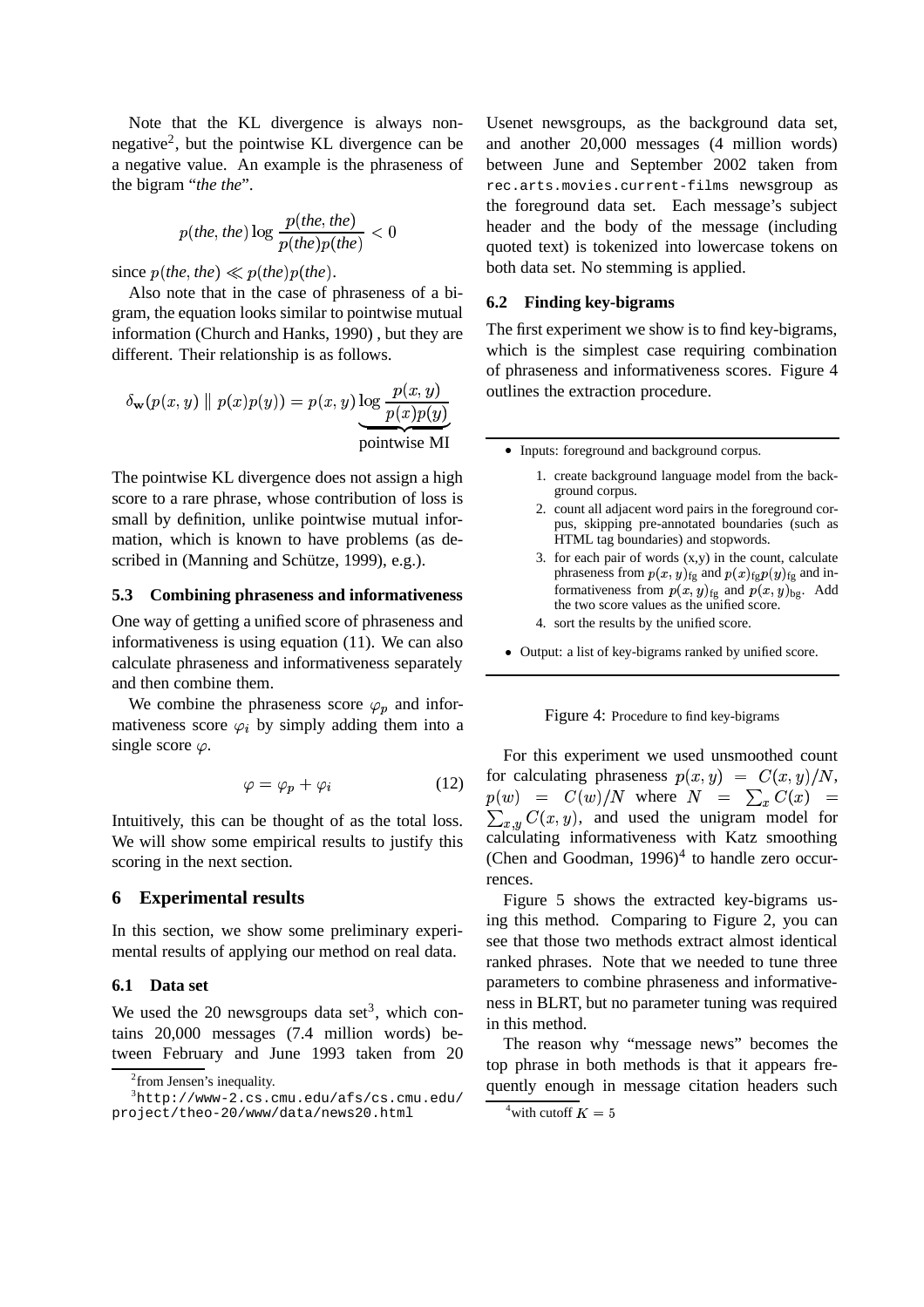Note that the KL divergence is always nonnegative<sup>2</sup>, but the pointwise KL divergence can be a negative value. An example is the phraseness of the bigram "*the the*".

$$
p(the, the) \log \frac{p(the, the)}{p(the)p(the)} < 0
$$

since  $p(the, the) \ll p(the)p(the)$ .

Also note that in the case of phraseness of a bigram, the equation looks similar to pointwise mutual information (Church and Hanks, 1990) , but they are different. Their relationship is as follows.

$$
\delta_{\mathbf{w}}(p(x,y) \parallel p(x)p(y)) = p(x,y) \underbrace{\log \frac{p(x,y)}{p(x)p(y)}}_{\text{pointwise MI}} \qquad \text{outline}
$$

The pointwise KL divergence does not assign a high score to a rare phrase, whose contribution of loss is small by definition, unlike pointwise mutual information, which is known to have problems (as described in (Manning and Schütze, 1999), e.g.).

#### **5.3 Combining phraseness and informativeness**

One way of getting a unified score of phraseness and informativeness is using equation (11). We can also calculate phraseness and informativeness separately and then combine them.

We combine the phraseness score  $\varphi_p$  and informativeness score  $\varphi_i$  by simply adding them into a single score  $\varphi$ .

$$
\varphi = \varphi_p + \varphi_i \tag{12}
$$

Intuitively, this can be thought of as the total loss. We will show some empirical results to justify this scoring in the next section.

#### **6 Experimental results**

In this section, we show some preliminary experimental results of applying our method on real data.

### **6.1 Data set**

We used the 20 newsgroups data set<sup>3</sup>, which contains 20,000 messages (7.4 million words) between February and June 1993 taken from 20

Usenet newsgroups, as the background data set, and another 20,000 messages (4 million words) between June and September 2002 taken from rec.arts.movies.current-films newsgroup as the foreground data set. Each message's subject header and the body of the message (including quoted text) is tokenized into lowercase tokens on both data set. No stemming is applied.

## **6.2 Finding key-bigrams**

The first experiment we show is to find key-bigrams, which is the simplest case requiring combination of phraseness and informativeness scores. Figure 4 outlines the extraction procedure.

• Inputs: foreground and background corpus.

- 1. create background language model from the background corpus.
- 2. count all adjacent word pairs in the foreground corpus, skipping pre-annotated boundaries (such as HTML tag boundaries) and stopwords.
- 3. for each pair of words  $(x,y)$  in the count, calculate phraseness from  $p(x, y)_{\text{fg}}$  and  $p(x)_{\text{fg}} p(y)_{\text{fg}}$  and informativeness from  $p(x, y)_{fg}$  and  $p(x, y)_{bg}$ . Add the two score values as the unified score.
- 4. sort the results by the unified score.
- Output: a list of key-bigrams ranked by unified score.

#### Figure 4: Procedure to find key-bigrams

For this experiment we used unsmoothed count for calculating phraseness  $p(x, y) = C(x, y)/N$ ,  $p(w)$  =  $C(w)/N$  where  $N = \sum_x C(x)$  =  $35.66 + 1.66$ <sup>&</sup>gt;  $\chi_{x,y} C(x, y)$ , and used the unigram model for calculating informativeness with Katz smoothing (Chen and Goodman,  $1996$ )<sup>4</sup> to handle zero occurrences.

Figure 5 shows the extracted key-bigrams using this method. Comparing to Figure 2, you can see that those two methods extract almost identical ranked phrases. Note that we needed to tune three parameters to combine phraseness and informativeness in BLRT, but no parameter tuning was required in this method.

The reason why "message news" becomes the top phrase in both methods is that it appears frequently enough in message citation headers such

<sup>&</sup>lt;sup>2</sup> from Jensen's inequality.

 $3$ http://www-2.cs.cmu.edu/afs/cs.cmu.edu/ project/theo-20/www/data/news20.html

<sup>&</sup>lt;sup>4</sup>with cutoff  $K = 5$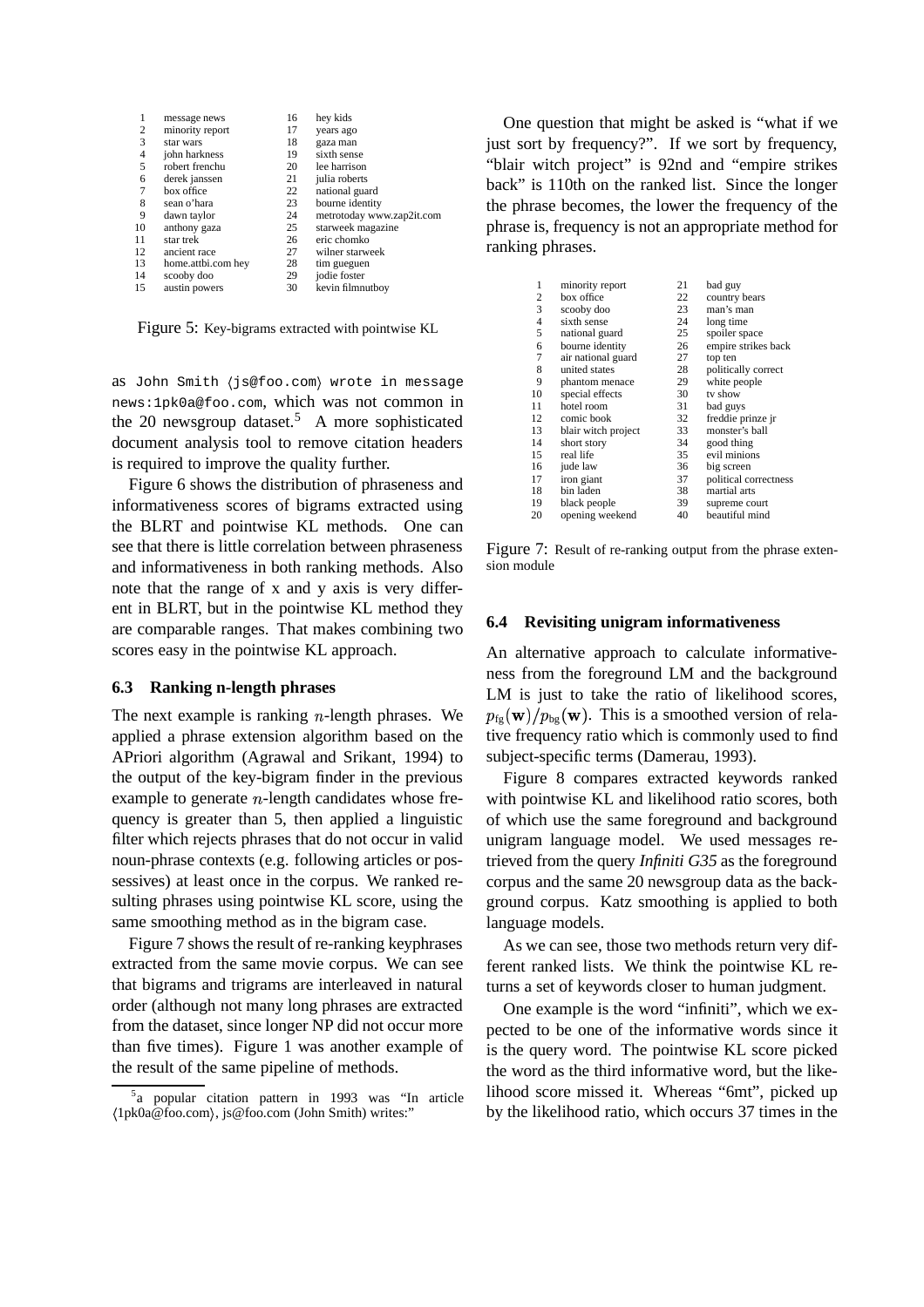| 1              | message news       | 16 | hey kids                  |
|----------------|--------------------|----|---------------------------|
| $\overline{c}$ | minority report    | 17 | years ago                 |
| 3              | star wars          | 18 | gaza man                  |
| 4              | john harkness      | 19 | sixth sense               |
| 5              | robert frenchu     | 20 | lee harrison              |
| 6              | derek janssen      | 21 | julia roberts             |
| $\overline{7}$ | box office         | 22 | national guard            |
| 8              | sean o'hara        | 23 | bourne identity           |
| 9              | dawn taylor        | 24 | metrotoday www.zap2it.com |
| 10             | anthony gaza       | 25 | starweek magazine         |
| 11             | star trek          | 26 | eric chomko               |
| 12             | ancient race       | 27 | wilner starweek           |
| 13             | home.attbi.com hey | 28 | tim gueguen               |
| 14             | scooby doo         | 29 | jodie foster              |
| 15             | austin powers      | 30 | kevin filmnutboy          |
|                |                    |    |                           |

Figure 5: Key-bigrams extracted with pointwise KL

as John Smith (js@foo.com) wrote in message news:1pk0a@foo.com, which was not common in the 20 newsgroup dataset.<sup>5</sup> A more sophisticated document analysis tool to remove citation headers is required to improve the quality further.

Figure 6 shows the distribution of phraseness and informativeness scores of bigrams extracted using the BLRT and pointwise KL methods. One can see that there is little correlation between phraseness and informativeness in both ranking methods. Also note that the range of x and y axis is very different in BLRT, but in the pointwise KL method they are comparable ranges. That makes combining two scores easy in the pointwise KL approach.

## **6.3 Ranking n-length phrases**

The next example is ranking  $n$ -length phrases. We applied a phrase extension algorithm based on the APriori algorithm (Agrawal and Srikant, 1994) to the output of the key-bigram finder in the previous example to generate  $n$ -length candidates whose frequency is greater than 5, then applied a linguistic filter which rejects phrases that do not occur in valid noun-phrase contexts (e.g. following articles or possessives) at least once in the corpus. We ranked resulting phrases using pointwise KL score, using the same smoothing method as in the bigram case.

Figure 7 shows the result of re-ranking keyphrases extracted from the same movie corpus. We can see that bigrams and trigrams are interleaved in natural order (although not many long phrases are extracted from the dataset, since longer NP did not occur more than five times). Figure 1 was another example of the result of the same pipeline of methods.

One question that might be asked is "what if we just sort by frequency?". If we sort by frequency, "blair witch project" is 92nd and "empire strikes back" is 110th on the ranked list. Since the longer the phrase becomes, the lower the frequency of the phrase is, frequency is not an appropriate method for ranking phrases.

| 1              | minority report     | 21 | bad guy               |
|----------------|---------------------|----|-----------------------|
| $\overline{c}$ | box office          | 22 | country bears         |
| 3              | scooby doo          | 23 | man's man             |
| $\overline{4}$ | sixth sense         | 24 | long time             |
| 5              | national guard      | 25 | spoiler space         |
| 6              | bourne identity     | 26 | empire strikes back   |
| 7              | air national guard  | 27 | top ten               |
| 8              | united states       | 28 | politically correct   |
| 9              | phantom menace      | 29 | white people          |
| 10             | special effects     | 30 | tv show               |
| 11             | hotel room          | 31 | bad guys              |
| 12             | comic book          | 32 | freddie prinze jr     |
| 13             | blair witch project | 33 | monster's ball        |
| 14             | short story         | 34 | good thing            |
| 15             | real life           | 35 | evil minions          |
| 16             | jude law            | 36 | big screen            |
| 17             | iron giant          | 37 | political correctness |
| 18             | bin laden           | 38 | martial arts          |
| 19             | black people        | 39 | supreme court         |
| 20             | opening weekend     | 40 | beautiful mind        |

Figure 7: Result of re-ranking output from the phrase extension module

#### **6.4 Revisiting unigram informativeness**

An alternative approach to calculate informativeness from the foreground LM and the background LM is just to take the ratio of likelihood scores,  $p_{\text{fg}}(\mathbf{w})/p_{\text{bg}}(\mathbf{w})$ . This is a smoothed version of relative frequency ratio which is commonly used to find subject-specific terms (Damerau, 1993).

Figure 8 compares extracted keywords ranked with pointwise KL and likelihood ratio scores, both of which use the same foreground and background unigram language model. We used messages retrieved from the query *Infiniti G35* as the foreground corpus and the same 20 newsgroup data as the background corpus. Katz smoothing is applied to both language models.

As we can see, those two methods return very different ranked lists. We think the pointwise KL returns a set of keywords closer to human judgment.

One example is the word "infiniti", which we expected to be one of the informative words since it is the query word. The pointwise KL score picked the word as the third informative word, but the likelihood score missed it. Whereas "6mt", picked up by the likelihood ratio, which occurs 37 times in the

<sup>&</sup>lt;sup>5</sup>a popular citation pattern in 1993 was "In article 1pk0a@foo.com , js@foo.com (John Smith) writes:"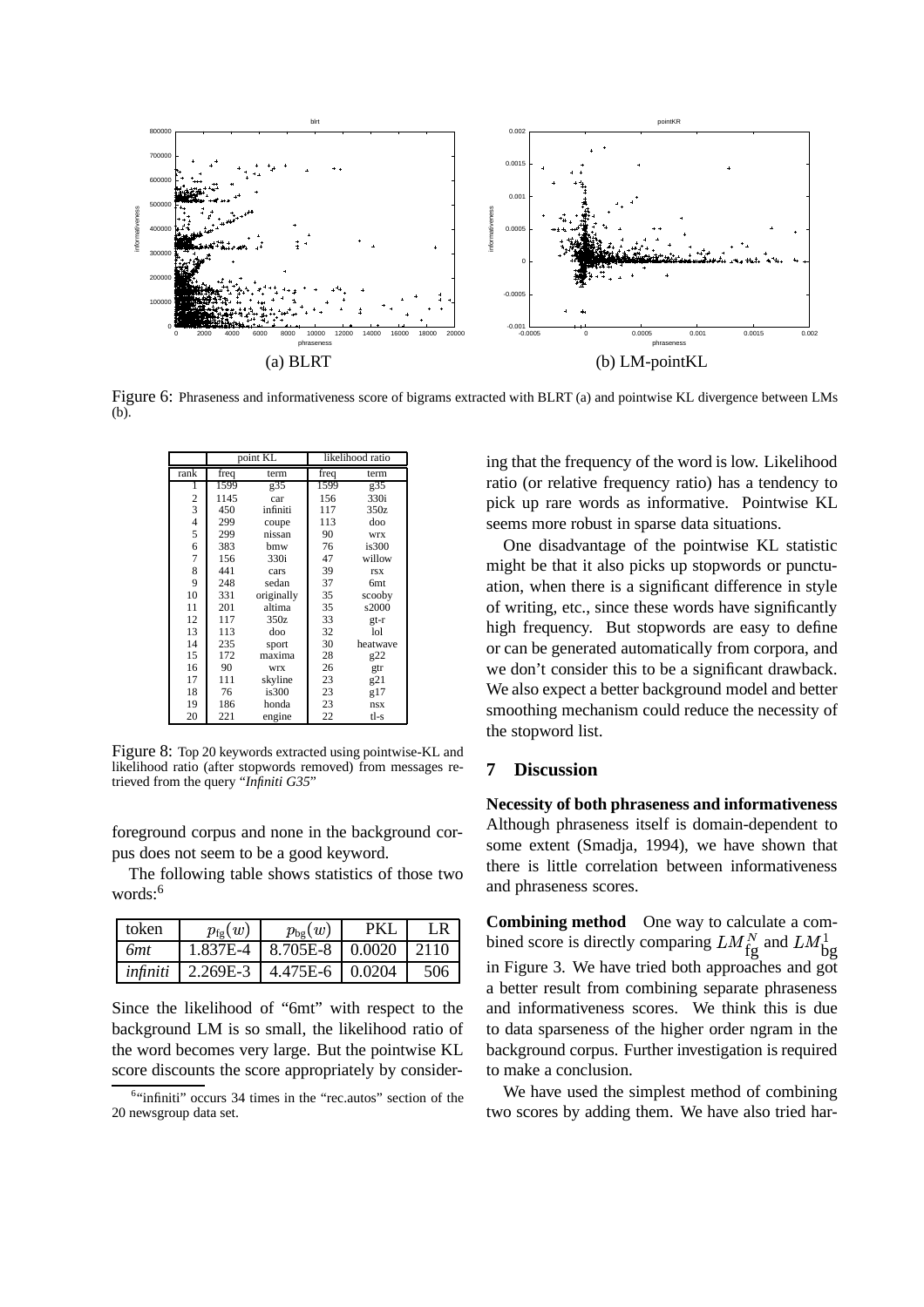

Figure 6: Phraseness and informativeness score of bigrams extracted with BLRT (a) and pointwise KL divergence between LMs (b).

|                          | point KL       |            | likelihood ratio |                 |
|--------------------------|----------------|------------|------------------|-----------------|
| rank                     | freq<br>term   |            | freq             | term            |
| 1599<br>g35<br>1         |                | 1599       | g35              |                 |
| $\frac{2}{3}$            | 1145           | car        | 156              | 330i            |
|                          | 450            | infiniti   | 117              | 350z            |
| $\overline{\mathcal{L}}$ | 299            | coupe      | 113              | doo             |
| 5                        | 299            | nissan     | 90               | <b>WIX</b>      |
| 6                        | 383            | bmw        | 76               | is300           |
| $\overline{7}$           | 156            | 330i       | 47               | willow          |
| 8                        | 441            | cars       | 39               | <b>rsx</b>      |
| 9                        | 248            | sedan      | 37               | 6 <sub>mt</sub> |
| 10                       | 331            | originally | 35               | scooby          |
| 11                       | 201            | altima     | 35               | s2000           |
| 12                       | 117            | 350z       | 33               | $gt-r$          |
| 13                       | 113            | doo        | 32               | 1 <sub>o1</sub> |
| 14                       | 235            | sport      | 30               | heatwave        |
| 15                       | 172            | maxima     | 28               | g22             |
| 16                       | 90             | <b>WIX</b> | 26               | gtr             |
| 17                       | skyline<br>111 |            | 23               | g21             |
| 18                       | 76             | is300      | 23               | g17             |
| 19                       | 186            | honda      | 23               | nsx             |
| 20                       | 221<br>engine  |            | $22\,$           | tl-s            |

Figure 8: Top 20 keywords extracted using pointwise-KL and likelihood ratio (after stopwords removed) from messages retrieved from the query "*Infiniti G35*"

foreground corpus and none in the background corpus does not seem to be a good keyword.

The following table shows statistics of those two words:<sup>6</sup>

| token       | $p_{\text{fg}}(w)$ | $p_{\text{bg}}(w)$             | <b>PKL</b> | LR   |
|-------------|--------------------|--------------------------------|------------|------|
| 6 <i>mt</i> |                    | 1.837E-4   8.705E-8   0.0020   |            | 2110 |
| infiniti    |                    | $2.269E-3$   4.475E-6   0.0204 |            | 506  |

Since the likelihood of "6mt" with respect to the background LM is so small, the likelihood ratio of the word becomes very large. But the pointwise KL score discounts the score appropriately by considering that the frequency of the word is low. Likelihood ratio (or relative frequency ratio) has a tendency to pick up rare words as informative. Pointwise KL seems more robust in sparse data situations.

One disadvantage of the pointwise KL statistic might be that it also picks up stopwords or punctuation, when there is a significant difference in style of writing, etc., since these words have significantly high frequency. But stopwords are easy to define or can be generated automatically from corpora, and we don't consider this to be a significant drawback. We also expect a better background model and better smoothing mechanism could reduce the necessity of the stopword list.

# **7 Discussion**

**Necessity of both phraseness and informativeness** Although phraseness itself is domain-dependent to some extent (Smadja, 1994), we have shown that there is little correlation between informativeness and phraseness scores.

**Combining method** One way to calculate a combined score is directly comparing  $LM_{fg}^N$  and  $LM_{bg}^1$ in Figure 3. We have tried both approaches and got a better result from combining separate phraseness and informativeness scores. We think this is due to data sparseness of the higher order ngram in the background corpus. Further investigation is required to make a conclusion.

We have used the simplest method of combining two scores by adding them. We have also tried har-

<sup>&</sup>lt;sup>6</sup>"infiniti" occurs 34 times in the "rec.autos" section of the 20 newsgroup data set.